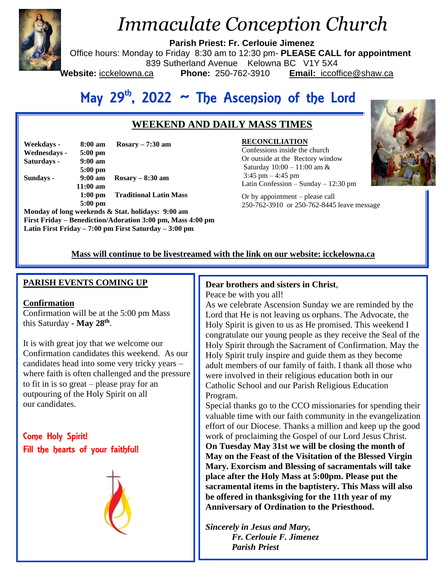

# *Immaculate Conception Church*

**Parish Priest: Fr. Cerlouie Jimenez**

Office hours: Monday to Friday 8:30 am to 12:30 pm- **PLEASE CALL for appointment**

839 Sutherland Avenue Kelowna BC V1Y 5X4

Website: icckelowna.ca

**Phone:** 250-762-3910 **Email:** iccoffice@shaw.ca

## May  $29<sup>th</sup>$ , 2022  $\sim$  The Ascension of the Lord

## **WEEKEND AND DAILY MASS TIMES**

| Weekdays -   | 8:00 am           | Rosary $-7:30$ am             |
|--------------|-------------------|-------------------------------|
| Wednesdays - | $5:00 \text{ pm}$ |                               |
| Saturdays -  | $9:00 \text{ am}$ |                               |
|              | $5:00$ pm         |                               |
| Sundays -    | $9:00 \text{ am}$ | $Rosarv - 8:30$ am            |
|              | $11:00$ am        |                               |
|              | $1:00$ pm         | <b>Traditional Latin Mass</b> |
|              | $5:00$ pm         |                               |

**Monday of long weekends & Stat. holidays: 9:00 am First Friday – Benediction/Adoration 3:00 pm, Mass 4:00 pm Latin First Friday – 7:00 pm First Saturday – 3:00 pm** 

## **RECONCILIATION**

 Latin Confession – Sunday – 12:30 pm Confessions inside the church Or outside at the Rectory window Saturday 10:00 – 11:00 am &  $3:45 \text{ pm} - 4:45 \text{ pm}$ 

Or by appointment – please call 250-762-3910 or 250-762-8445 leave message



## **Mass will continue to be livestreamed with the link on our website: icckelowna.ca**

## **PARISH EVENTS COMING UP**

## **Confirmation**

Confirmation will be at the 5:00 pm Mass this Saturday **- May 28th** .

It is with great joy that we welcome our Confirmation candidates this weekend. As our candidates head into some very tricky years – where faith is often challenged and the pressure to fit in is so great – please pray for an outpouring of the Holy Spirit on all our candidates.

Come Holy Spirit! Fill the hearts of your faithful!



## **Dear brothers and sisters in Christ**,

Peace be with you all!

As we celebrate Ascension Sunday we are reminded by the Lord that He is not leaving us orphans. The Advocate, the Holy Spirit is given to us as He promised. This weekend I congratulate our young people as they receive the Seal of the Holy Spirit through the Sacrament of Confirmation. May the Holy Spirit truly inspire and guide them as they become adult members of our family of faith. I thank all those who were involved in their religious education both in our Catholic School and our Parish Religious Education Program.

Special thanks go to the CCO missionaries for spending their valuable time with our faith community in the evangelization effort of our Diocese. Thanks a million and keep up the good work of proclaiming the Gospel of our Lord Jesus Christ. **On Tuesday May 31st we will be closing the month of May on the Feast of the Visitation of the Blessed Virgin Mary. Exorcism and Blessing of sacramentals will take place after the Holy Mass at 5:00pm. Please put the sacramental items in the baptistery. This Mass will also be offered in thanksgiving for the 11th year of my Anniversary of Ordination to the Priesthood.** 

*Sincerely in Jesus and Mary, Fr. Cerlouie F. Jimenez Parish Priest*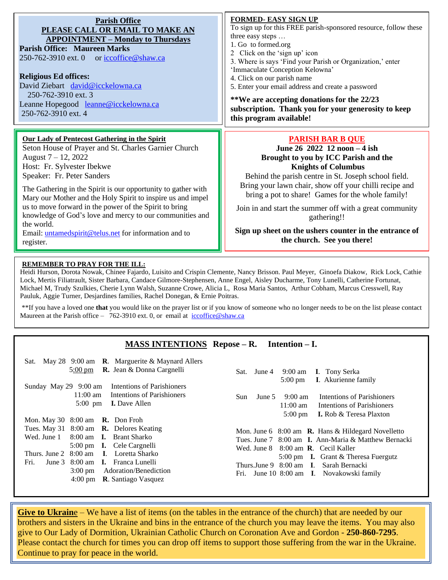| <b>Parish Office</b><br>PLEASE CALL OR EMAIL TO MAKE AN<br><b>APPOINTMENT – Monday to Thursdays</b><br><b>Parish Office: Maureen Marks</b><br>250-762-3910 ext. 0 or iccoffice@shaw.ca                                                                                                                                                                                                                                                                                                                                                              | FORMED- EASY SIGN UP<br>To sign up for this FREE parish-sponsored resource, follow these<br>three easy steps<br>1. Go to formed.org<br>2 Click on the 'sign up' icon<br>3. Where is says 'Find your Parish or Organization,' enter<br>'Immaculate Conception Kelowna'<br>4. Click on our parish name<br>5. Enter your email address and create a password                                                                                                              |  |
|-----------------------------------------------------------------------------------------------------------------------------------------------------------------------------------------------------------------------------------------------------------------------------------------------------------------------------------------------------------------------------------------------------------------------------------------------------------------------------------------------------------------------------------------------------|------------------------------------------------------------------------------------------------------------------------------------------------------------------------------------------------------------------------------------------------------------------------------------------------------------------------------------------------------------------------------------------------------------------------------------------------------------------------|--|
| <b>Religious Ed offices:</b><br>David Ziebart david@icckelowna.ca                                                                                                                                                                                                                                                                                                                                                                                                                                                                                   |                                                                                                                                                                                                                                                                                                                                                                                                                                                                        |  |
| 250-762-3910 ext. 3<br>Leanne Hopegood leanne@icckelowna.ca<br>250-762-3910 ext. 4                                                                                                                                                                                                                                                                                                                                                                                                                                                                  | **We are accepting donations for the 22/23<br>subscription. Thank you for your generosity to keep<br>this program available!                                                                                                                                                                                                                                                                                                                                           |  |
| <b>Our Lady of Pentecost Gathering in the Spirit</b><br>Seton House of Prayer and St. Charles Garnier Church<br>August $7 - 12$ , 2022<br>Host: Fr. Sylvester Ibekwe<br>Speaker: Fr. Peter Sanders<br>The Gathering in the Spirit is our opportunity to gather with<br>Mary our Mother and the Holy Spirit to inspire us and impel<br>us to move forward in the power of the Spirit to bring<br>knowledge of God's love and mercy to our communities and<br>the world.<br>Email: <i>untamedspirit@telus.net</i> for information and to<br>register. | <b>PARISH BAR B QUE</b><br>June 26 2022 12 noon - 4 ish<br>Brought to you by ICC Parish and the<br><b>Knights of Columbus</b><br>Behind the parish centre in St. Joseph school field.<br>Bring your lawn chair, show off your chilli recipe and<br>bring a pot to share! Games for the whole family!<br>Join in and start the summer off with a great community<br>gathering!!<br>Sign up sheet on the ushers counter in the entrance of<br>the church. See you there! |  |

#### **REMEMBER TO PRAY FOR THE ILL:**

Heidi Hurson, Dorota Nowak, Chinee Fajardo, Luisito and Crispin Clemente, Nancy Brisson. Paul Meyer, Ginoefa Diakow, Rick Lock, Cathie Lock, Mertis Filiatrault, Sister Barbara, Candace Gilmore-Stephensen, Anne Engel, Aisley Ducharme, Tony Lunelli, Catherine Fortunat, Michael M, Trudy Szulkies, Cherie Lynn Walsh, Suzanne Crowe, Alicia L, Rosa Maria Santos, Arthur Cobham, Marcus Cresswell, Ray Pauluk, Aggie Turner, Desjardines families, Rachel Donegan, & Ernie Poitras.

\*\*If you have a loved one **that** you would like on the prayer list or if you know of someone who no longer needs to be on the list please contact Maureen at the Parish office – 762-3910 ext. 0, or email at iccoffice@shaw.ca

## **MASS INTENTIONS Repose – R. Intention – I.**

| Sat. May 28 $9:00$ am <b>R</b> . Marguerite & Maynard Allers<br><b>R.</b> Jean $\&$ Donna Cargnelli<br>$5:00 \text{ pm}$                                                                                                                                                                                                                                                         | 9:00 am I. Tony Serka<br>June 4<br>Sat.<br><b>I.</b> Akurienne family<br>$5:00 \text{ pm}$                                                                                                                                                                                                                                           |
|----------------------------------------------------------------------------------------------------------------------------------------------------------------------------------------------------------------------------------------------------------------------------------------------------------------------------------------------------------------------------------|--------------------------------------------------------------------------------------------------------------------------------------------------------------------------------------------------------------------------------------------------------------------------------------------------------------------------------------|
| Intentions of Parishioners<br>Sunday May 29 9:00 am<br>$11:00 \text{ am}$<br>Intentions of Parishioners<br>$5:00 \text{ pm}$<br><b>I.</b> Dave Allen                                                                                                                                                                                                                             | Intentions of Parishioners<br>$9:00 \text{ am}$<br>June 5<br>Sun.<br>$11:00$ am<br>Intentions of Parishioners<br><b>I.</b> Rob & Teresa Plaxton                                                                                                                                                                                      |
| Mon. May 30 $8:00$ am <b>R.</b> Don Froh<br>Tues. May 31 $8:00$ am <b>R.</b> Delores Keating<br>Wed. June 1<br>8:00 am <b>I.</b> Brant Sharko<br>5:00 pm <b>I.</b> Cele Cargnelli<br>Thurs. June 2 8:00 am I. Loretta Sharko<br>Fri.<br>June 3 8:00 am <b>I.</b> Franca Lunelli<br><b>Adoration/Benediction</b><br>$3:00 \text{ pm}$<br>4:00 pm $\,$ <b>R</b> . Santiago Vasquez | $5:00 \text{ pm}$<br>Mon. June 6 $8:00$ am <b>R.</b> Hans & Hildegard Novelletto<br>Tues. June 7 8:00 am I. Ann-Maria & Matthew Bernacki<br>Wed. June $8 \quad 8:00$ am <b>R</b> . Cecil Kaller<br>5:00 pm <b>I.</b> Grant & Theresa Fuergutz<br>Thurs.June 9 8:00 am I. Sarah Bernacki<br>Fri. June 10 8:00 am I. Novakowski family |

**Give to Ukraine** – We have a list of items (on the tables in the entrance of the church) that are needed by our brothers and sisters in the Ukraine and bins in the entrance of the church you may leave the items. You may also give to Our Lady of Dormition, Ukrainian Catholic Church on Coronation Ave and Gordon - **250-860-7295**. Please contact the church for times you can drop off items to support those suffering from the war in the Ukraine. Continue to pray for peace in the world.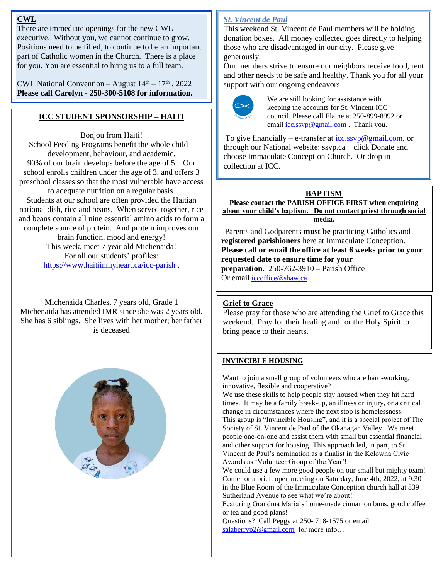#### **CWL**

There are immediate openings for the new CWL executive. Without you, we cannot continue to grow. Positions need to be filled, to continue to be an important part of Catholic women in the Church. There is a place for you. You are essential to bring us to a full team.

CWL National Convention – August  $14<sup>th</sup> - 17<sup>th</sup>$ , 2022 **Please call Carolyn - 250-300-5108 for information.**

## **ICC STUDENT SPONSORSHIP – HAITI**

Bonjou from Haiti! School Feeding Programs benefit the whole child – development, behaviour, and academic. 90% of our brain develops before the age of 5. Our school enrolls children under the age of 3, and offers 3 preschool classes so that the most vulnerable have access to adequate nutrition on a regular basis. Students at our school are often provided the Haitian national dish, rice and beans. When served together, rice and beans contain all nine essential amino acids to form a complete source of protein. And protein improves our brain function, mood and energy! This week, meet 7 year old Michenaida! For all our students' profiles:

<https://www.haitiinmyheart.ca/icc-parish> .

Michenaida Charles, 7 years old, Grade 1 Michenaida has attended IMR since she was 2 years old. She has 6 siblings. She lives with her mother; her father is deceased



## *St. Vincent de Paul*

This weekend St. Vincent de Paul members will be holding donation boxes. All money collected goes directly to helping those who are disadvantaged in our city. Please give generously.

Our members strive to ensure our neighbors receive food, rent and other needs to be safe and healthy. Thank you for all your support with our ongoing endeavors



We are still looking for assistance with keeping the accounts for St. Vincent ICC council. Please call Elaine at 250-899-8992 or email  $\frac{icc.ssvp@gmail.com}{icc.svq@gmail.com}$ . Thank you.

To give financially – e-transfer at  $\frac{icc \, \text{ssvp}\omega \text{g} \text{g} m}$ .com, or through our National website: ssvp.ca click Donate and choose Immaculate Conception Church. Or drop in collection at ICC.

## **BAPTISM**

**Please contact the PARISH OFFICE FIRST when enquiring about your child's baptism. Do not contact priest through social media.** 

 Parents and Godparents **must be** practicing Catholics and **registered parishioners** here at Immaculate Conception. **Please call or email the office at least 6 weeks prior to your requested date to ensure time for your preparation.** 250-762-3910 – Parish Office Or email [iccoffice@shaw.ca](mailto:iccoffice@shaw.ca) 

## **Grief to Grace**

Please pray for those who are attending the Grief to Grace this weekend. Pray for their healing and for the Holy Spirit to bring peace to their hearts.

## **INVINCIBLE HOUSING**

Want to join a small group of volunteers who are hard-working, innovative, flexible and cooperative?

We use these skills to help people stay housed when they hit hard times. It may be a family break-up, an illness or injury, or a critical change in circumstances where the next stop is homelessness. This group is "Invincible Housing", and it is a special project of The Society of St. Vincent de Paul of the Okanagan Valley. We meet people one-on-one and assist them with small but essential financial and other support for housing. This approach led, in part, to St. Vincent de Paul's nomination as a finalist in the Kelowna Civic Awards as 'Volunteer Group of the Year'!

We could use a few more good people on our small but mighty team! Come for a brief, open meeting on Saturday, June 4th, 2022, at 9:30 in the Blue Room of the Immaculate Conception church hall at 839 Sutherland Avenue to see what we're about!

Featuring Grandma Maria's home-made cinnamon buns, good coffee or tea and good plans!

Questions? Call Peggy at 250- 718-1575 or email [salaberryp2@gmail.com](mailto:salaberryp2@gmail.com) for more info...